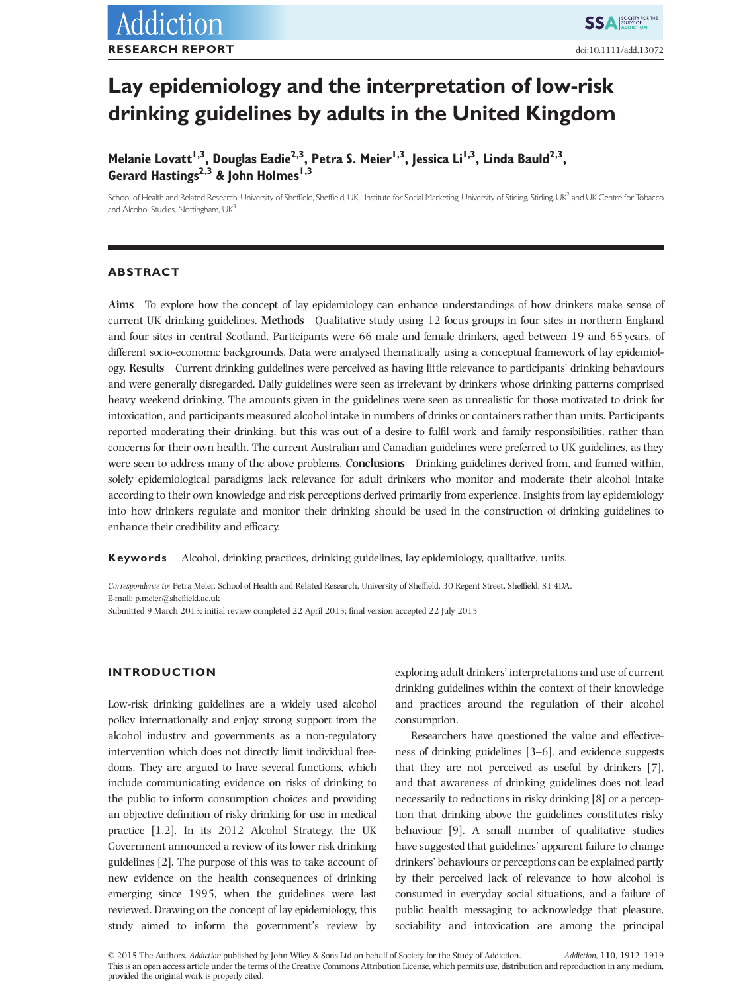# Lay epidemiology and the interpretation of low-risk drinking guidelines by adults in the United Kingdom

Melanie Lovatt<sup>1,3</sup>, Douglas Eadie<sup>2,3</sup>, Petra S. Meier<sup>1,3</sup>, Iessica Li<sup>1,3</sup>, Linda Bauld<sup>2,3</sup>, Gerard Hastings<sup>2,3</sup> & John Holmes<sup>1,3</sup>

School of Health and Related Research, University of Sheffield, Sheffield, UK,<sup>1</sup> Institute for Social Marketing, University of Stirling, Stirling, UK<sup>2</sup> and UK Centre for Tobacco and Alcohol Studies, Nottingham, UK<sup>3</sup>

### ABSTRACT

Aims To explore how the concept of lay epidemiology can enhance understandings of how drinkers make sense of current UK drinking guidelines. Methods Qualitative study using 12 focus groups in four sites in northern England and four sites in central Scotland. Participants were 66 male and female drinkers, aged between 19 and 65 years, of different socio-economic backgrounds. Data were analysed thematically using a conceptual framework of lay epidemiology. Results Current drinking guidelines were perceived as having little relevance to participants' drinking behaviours and were generally disregarded. Daily guidelines were seen as irrelevant by drinkers whose drinking patterns comprised heavy weekend drinking. The amounts given in the guidelines were seen as unrealistic for those motivated to drink for intoxication, and participants measured alcohol intake in numbers of drinks or containers rather than units. Participants reported moderating their drinking, but this was out of a desire to fulfil work and family responsibilities, rather than concerns for their own health. The current Australian and Canadian guidelines were preferred to UK guidelines, as they were seen to address many of the above problems. Conclusions Drinking guidelines derived from, and framed within, solely epidemiological paradigms lack relevance for adult drinkers who monitor and moderate their alcohol intake according to their own knowledge and risk perceptions derived primarily from experience. Insights from lay epidemiology into how drinkers regulate and monitor their drinking should be used in the construction of drinking guidelines to enhance their credibility and efficacy.

Keywords Alcohol, drinking practices, drinking guidelines, lay epidemiology, qualitative, units.

Correspondence to: Petra Meier, School of Health and Related Research, University of Sheffield, 30 Regent Street, Sheffield, S1 4DA. E-mail: p.meier@sheffield.ac.uk Submitted 9 March 2015; initial review completed 22 April 2015; final version accepted 22 July 2015

## INTRODUCTION

Low-risk drinking guidelines are a widely used alcohol policy internationally and enjoy strong support from the alcohol industry and governments as a non-regulatory intervention which does not directly limit individual freedoms. They are argued to have several functions, which include communicating evidence on risks of drinking to the public to inform consumption choices and providing an objective definition of risky drinking for use in medical practice [1,2]. In its 2012 Alcohol Strategy, the UK Government announced a review of its lower risk drinking guidelines [2]. The purpose of this was to take account of new evidence on the health consequences of drinking emerging since 1995, when the guidelines were last reviewed. Drawing on the concept of lay epidemiology, this study aimed to inform the government's review by

exploring adult drinkers' interpretations and use of current drinking guidelines within the context of their knowledge and practices around the regulation of their alcohol consumption.

Researchers have questioned the value and effectiveness of drinking guidelines [3–6], and evidence suggests that they are not perceived as useful by drinkers [7], and that awareness of drinking guidelines does not lead necessarily to reductions in risky drinking [8] or a perception that drinking above the guidelines constitutes risky behaviour [9]. A small number of qualitative studies have suggested that guidelines' apparent failure to change drinkers' behaviours or perceptions can be explained partly by their perceived lack of relevance to how alcohol is consumed in everyday social situations, and a failure of public health messaging to acknowledge that pleasure, sociability and intoxication are among the principal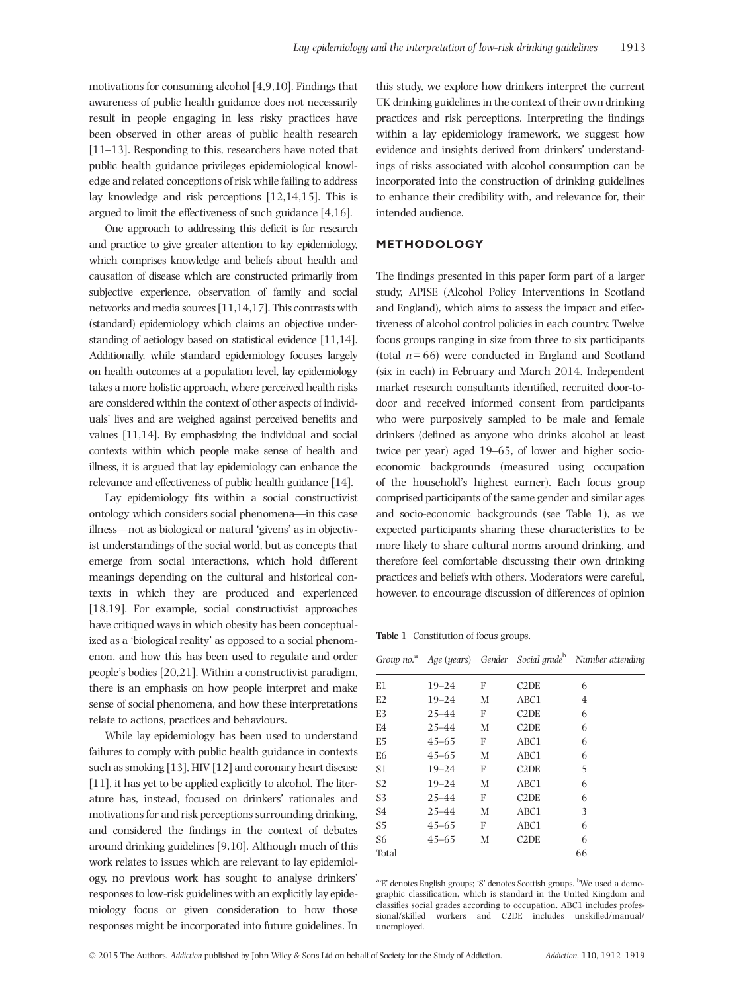motivations for consuming alcohol [4,9,10]. Findings that awareness of public health guidance does not necessarily result in people engaging in less risky practices have been observed in other areas of public health research [11–13]. Responding to this, researchers have noted that public health guidance privileges epidemiological knowledge and related conceptions of risk while failing to address lay knowledge and risk perceptions [12,14,15]. This is argued to limit the effectiveness of such guidance [4,16].

One approach to addressing this deficit is for research and practice to give greater attention to lay epidemiology, which comprises knowledge and beliefs about health and causation of disease which are constructed primarily from subjective experience, observation of family and social networks and media sources [11,14,17]. This contrasts with (standard) epidemiology which claims an objective understanding of aetiology based on statistical evidence [11,14]. Additionally, while standard epidemiology focuses largely on health outcomes at a population level, lay epidemiology takes a more holistic approach, where perceived health risks are considered within the context of other aspects of individuals' lives and are weighed against perceived benefits and values [11,14]. By emphasizing the individual and social contexts within which people make sense of health and illness, it is argued that lay epidemiology can enhance the relevance and effectiveness of public health guidance [14].

Lay epidemiology fits within a social constructivist ontology which considers social phenomena—in this case illness—not as biological or natural 'givens' as in objectivist understandings of the social world, but as concepts that emerge from social interactions, which hold different meanings depending on the cultural and historical contexts in which they are produced and experienced [18,19]. For example, social constructivist approaches have critiqued ways in which obesity has been conceptualized as a 'biological reality' as opposed to a social phenomenon, and how this has been used to regulate and order people's bodies [20,21]. Within a constructivist paradigm, there is an emphasis on how people interpret and make sense of social phenomena, and how these interpretations relate to actions, practices and behaviours.

While lay epidemiology has been used to understand failures to comply with public health guidance in contexts such as smoking [13], HIV [12] and coronary heart disease [11], it has yet to be applied explicitly to alcohol. The literature has, instead, focused on drinkers' rationales and motivations for and risk perceptions surrounding drinking, and considered the findings in the context of debates around drinking guidelines [9,10]. Although much of this work relates to issues which are relevant to lay epidemiology, no previous work has sought to analyse drinkers' responses to low-risk guidelines with an explicitly lay epidemiology focus or given consideration to how those responses might be incorporated into future guidelines. In

this study, we explore how drinkers interpret the current UK drinking guidelines in the context of their own drinking practices and risk perceptions. Interpreting the findings within a lay epidemiology framework, we suggest how evidence and insights derived from drinkers' understandings of risks associated with alcohol consumption can be incorporated into the construction of drinking guidelines to enhance their credibility with, and relevance for, their intended audience.

#### METHODOLOGY

The findings presented in this paper form part of a larger study, APISE (Alcohol Policy Interventions in Scotland and England), which aims to assess the impact and effectiveness of alcohol control policies in each country. Twelve focus groups ranging in size from three to six participants (total  $n = 66$ ) were conducted in England and Scotland (six in each) in February and March 2014. Independent market research consultants identified, recruited door-todoor and received informed consent from participants who were purposively sampled to be male and female drinkers (defined as anyone who drinks alcohol at least twice per year) aged 19–65, of lower and higher socioeconomic backgrounds (measured using occupation of the household's highest earner). Each focus group comprised participants of the same gender and similar ages and socio-economic backgrounds (see Table 1), as we expected participants sharing these characteristics to be more likely to share cultural norms around drinking, and therefore feel comfortable discussing their own drinking practices and beliefs with others. Moderators were careful, however, to encourage discussion of differences of opinion

Table 1 Constitution of focus groups.

| Group no. <sup>a</sup> |           |   |                  | Age (years) Gender Social grade <sup>b</sup> Number attending |
|------------------------|-----------|---|------------------|---------------------------------------------------------------|
| E1                     | $19 - 24$ | F | C2DE             | 6                                                             |
| E <sub>2</sub>         | $19 - 24$ | М | ABC1             | $\overline{4}$                                                |
| E3                     | $25 - 44$ | F | C2DE             | 6                                                             |
| E4                     | $25 - 44$ | М | C2DE             | 6                                                             |
| E5                     | $45 - 65$ | F | ABC1             | 6                                                             |
| E <sub>6</sub>         | $45 - 65$ | М | ABC <sub>1</sub> | 6                                                             |
| S <sub>1</sub>         | $19 - 24$ | F | C2DE             | 5                                                             |
| S <sub>2</sub>         | $19 - 24$ | М | ABC <sub>1</sub> | 6                                                             |
| S <sub>3</sub>         | $25 - 44$ | F | C2DE             | 6                                                             |
| S4                     | $25 - 44$ | М | ABC1             | 3                                                             |
| S5                     | $45 - 65$ | F | ABC <sub>1</sub> | 6                                                             |
| S <sub>6</sub>         | $45 - 65$ | М | C2DE             | 6                                                             |
| Total                  |           |   |                  | 66                                                            |

<sup>a</sup>'E' denotes English groups; 'S' denotes Scottish groups. <sup>b</sup>We used a demographic classification, which is standard in the United Kingdom and classifies social grades according to occupation. ABC1 includes professional/skilled workers and C2DE includes unskilled/manual/ unemployed.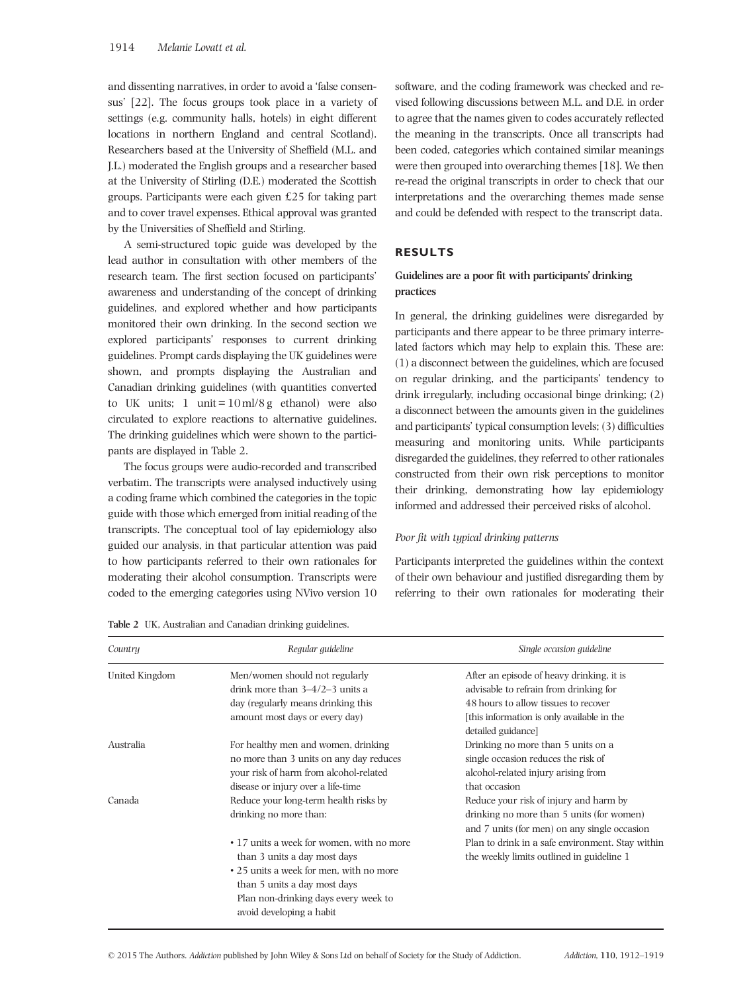and dissenting narratives, in order to avoid a 'false consensus' [22]. The focus groups took place in a variety of settings (e.g. community halls, hotels) in eight different locations in northern England and central Scotland). Researchers based at the University of Sheffield (M.L. and J.L.) moderated the English groups and a researcher based at the University of Stirling (D.E.) moderated the Scottish groups. Participants were each given £25 for taking part and to cover travel expenses. Ethical approval was granted by the Universities of Sheffield and Stirling.

A semi-structured topic guide was developed by the lead author in consultation with other members of the research team. The first section focused on participants' awareness and understanding of the concept of drinking guidelines, and explored whether and how participants monitored their own drinking. In the second section we explored participants' responses to current drinking guidelines. Prompt cards displaying the UK guidelines were shown, and prompts displaying the Australian and Canadian drinking guidelines (with quantities converted to UK units; 1 unit  $= 10$  ml/8 g ethanol) were also circulated to explore reactions to alternative guidelines. The drinking guidelines which were shown to the participants are displayed in Table 2.

The focus groups were audio-recorded and transcribed verbatim. The transcripts were analysed inductively using a coding frame which combined the categories in the topic guide with those which emerged from initial reading of the transcripts. The conceptual tool of lay epidemiology also guided our analysis, in that particular attention was paid to how participants referred to their own rationales for moderating their alcohol consumption. Transcripts were coded to the emerging categories using NVivo version 10

Table 2 UK, Australian and Canadian drinking guidelines.

software, and the coding framework was checked and revised following discussions between M.L. and D.E. in order to agree that the names given to codes accurately reflected the meaning in the transcripts. Once all transcripts had been coded, categories which contained similar meanings were then grouped into overarching themes [18]. We then re-read the original transcripts in order to check that our interpretations and the overarching themes made sense and could be defended with respect to the transcript data.

## RESULTS

## Guidelines are a poor fit with participants' drinking practices

In general, the drinking guidelines were disregarded by participants and there appear to be three primary interrelated factors which may help to explain this. These are: (1) a disconnect between the guidelines, which are focused on regular drinking, and the participants' tendency to drink irregularly, including occasional binge drinking; (2) a disconnect between the amounts given in the guidelines and participants' typical consumption levels; (3) difficulties measuring and monitoring units. While participants disregarded the guidelines, they referred to other rationales constructed from their own risk perceptions to monitor their drinking, demonstrating how lay epidemiology informed and addressed their perceived risks of alcohol.

#### Poor fit with typical drinking patterns

Participants interpreted the guidelines within the context of their own behaviour and justified disregarding them by referring to their own rationales for moderating their

| Country        | Regular guideline                         | Single occasion guideline                                                                 |  |
|----------------|-------------------------------------------|-------------------------------------------------------------------------------------------|--|
| United Kingdom | Men/women should not regularly            | After an episode of heavy drinking, it is                                                 |  |
|                | drink more than $3-4/2-3$ units a         | advisable to refrain from drinking for                                                    |  |
|                | day (regularly means drinking this        | 48 hours to allow tissues to recover                                                      |  |
|                | amount most days or every day)            | [this information is only available in the                                                |  |
|                |                                           | detailed guidance]                                                                        |  |
| Australia      | For healthy men and women, drinking       | Drinking no more than 5 units on a                                                        |  |
|                | no more than 3 units on any day reduces   | single occasion reduces the risk of                                                       |  |
|                | your risk of harm from alcohol-related    | alcohol-related injury arising from                                                       |  |
|                | disease or injury over a life-time        | that occasion                                                                             |  |
| Canada         | Reduce your long-term health risks by     | Reduce your risk of injury and harm by                                                    |  |
|                | drinking no more than:                    | drinking no more than 5 units (for women)<br>and 7 units (for men) on any single occasion |  |
|                | • 17 units a week for women, with no more | Plan to drink in a safe environment. Stay within                                          |  |
|                | than 3 units a day most days              | the weekly limits outlined in guideline 1                                                 |  |
|                | • 25 units a week for men, with no more   |                                                                                           |  |
|                | than 5 units a day most days              |                                                                                           |  |
|                | Plan non-drinking days every week to      |                                                                                           |  |
|                | avoid developing a habit                  |                                                                                           |  |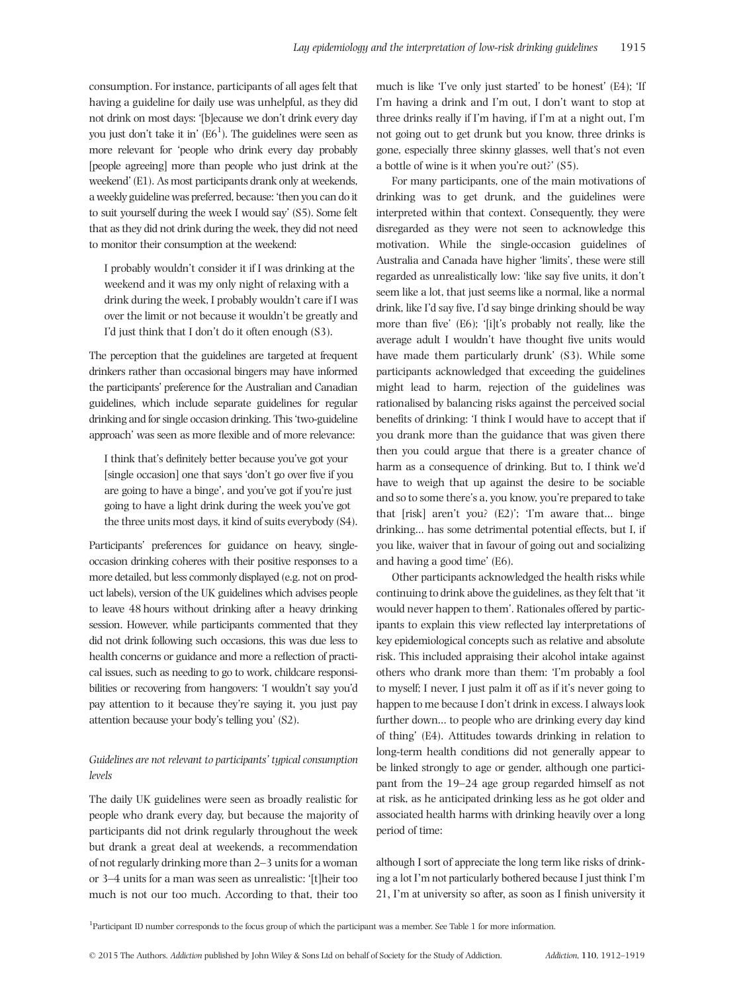consumption. For instance, participants of all ages felt that having a guideline for daily use was unhelpful, as they did not drink on most days: '[b]ecause we don't drink every day you just don't take it in' ( $E6<sup>1</sup>$ ). The guidelines were seen as more relevant for 'people who drink every day probably [people agreeing] more than people who just drink at the weekend' (E1). As most participants drank only at weekends, a weekly guideline was preferred, because: 'then you can do it to suit yourself during the week I would say' (S5). Some felt that as they did not drink during the week, they did not need to monitor their consumption at the weekend:

I probably wouldn't consider it if I was drinking at the weekend and it was my only night of relaxing with a drink during the week, I probably wouldn't care if I was over the limit or not because it wouldn't be greatly and I'd just think that I don't do it often enough (S3).

The perception that the guidelines are targeted at frequent drinkers rather than occasional bingers may have informed the participants' preference for the Australian and Canadian guidelines, which include separate guidelines for regular drinking and for single occasion drinking. This'two-guideline approach' was seen as more flexible and of more relevance:

I think that's definitely better because you've got your [single occasion] one that says 'don't go over five if you are going to have a binge', and you've got if you're just going to have a light drink during the week you've got the three units most days, it kind of suits everybody (S4).

Participants' preferences for guidance on heavy, singleoccasion drinking coheres with their positive responses to a more detailed, but less commonly displayed (e.g. not on product labels), version of the UK guidelines which advises people to leave 48 hours without drinking after a heavy drinking session. However, while participants commented that they did not drink following such occasions, this was due less to health concerns or guidance and more a reflection of practical issues, such as needing to go to work, childcare responsibilities or recovering from hangovers: 'I wouldn't say you'd pay attention to it because they're saying it, you just pay attention because your body's telling you' (S2).

## Guidelines are not relevant to participants' typical consumption levels

The daily UK guidelines were seen as broadly realistic for people who drank every day, but because the majority of participants did not drink regularly throughout the week but drank a great deal at weekends, a recommendation of not regularly drinking more than 2–3 units for a woman or 3–4 units for a man was seen as unrealistic: '[t]heir too much is not our too much. According to that, their too much is like 'I've only just started' to be honest' (E4); 'If I'm having a drink and I'm out, I don't want to stop at three drinks really if I'm having, if I'm at a night out, I'm not going out to get drunk but you know, three drinks is gone, especially three skinny glasses, well that's not even a bottle of wine is it when you're out?' (S5).

For many participants, one of the main motivations of drinking was to get drunk, and the guidelines were interpreted within that context. Consequently, they were disregarded as they were not seen to acknowledge this motivation. While the single-occasion guidelines of Australia and Canada have higher 'limits', these were still regarded as unrealistically low: 'like say five units, it don't seem like a lot, that just seems like a normal, like a normal drink, like I'd say five, I'd say binge drinking should be way more than five' (E6); '[i]t's probably not really, like the average adult I wouldn't have thought five units would have made them particularly drunk' (S3). While some participants acknowledged that exceeding the guidelines might lead to harm, rejection of the guidelines was rationalised by balancing risks against the perceived social benefits of drinking: 'I think I would have to accept that if you drank more than the guidance that was given there then you could argue that there is a greater chance of harm as a consequence of drinking. But to, I think we'd have to weigh that up against the desire to be sociable and so to some there's a, you know, you're prepared to take that [risk] aren't you? (E2)'; 'I'm aware that… binge drinking… has some detrimental potential effects, but I, if you like, waiver that in favour of going out and socializing and having a good time' (E6).

Other participants acknowledged the health risks while continuing to drink above the guidelines, as they felt that 'it would never happen to them'. Rationales offered by participants to explain this view reflected lay interpretations of key epidemiological concepts such as relative and absolute risk. This included appraising their alcohol intake against others who drank more than them: 'I'm probably a fool to myself; I never, I just palm it off as if it's never going to happen to me because I don't drink in excess. I always look further down… to people who are drinking every day kind of thing' (E4). Attitudes towards drinking in relation to long-term health conditions did not generally appear to be linked strongly to age or gender, although one participant from the 19–24 age group regarded himself as not at risk, as he anticipated drinking less as he got older and associated health harms with drinking heavily over a long period of time:

although I sort of appreciate the long term like risks of drinking a lot I'm not particularly bothered because I just think I'm 21, I'm at university so after, as soon as I finish university it

<sup>1</sup>Participant ID number corresponds to the focus group of which the participant was a member. See Table 1 for more information.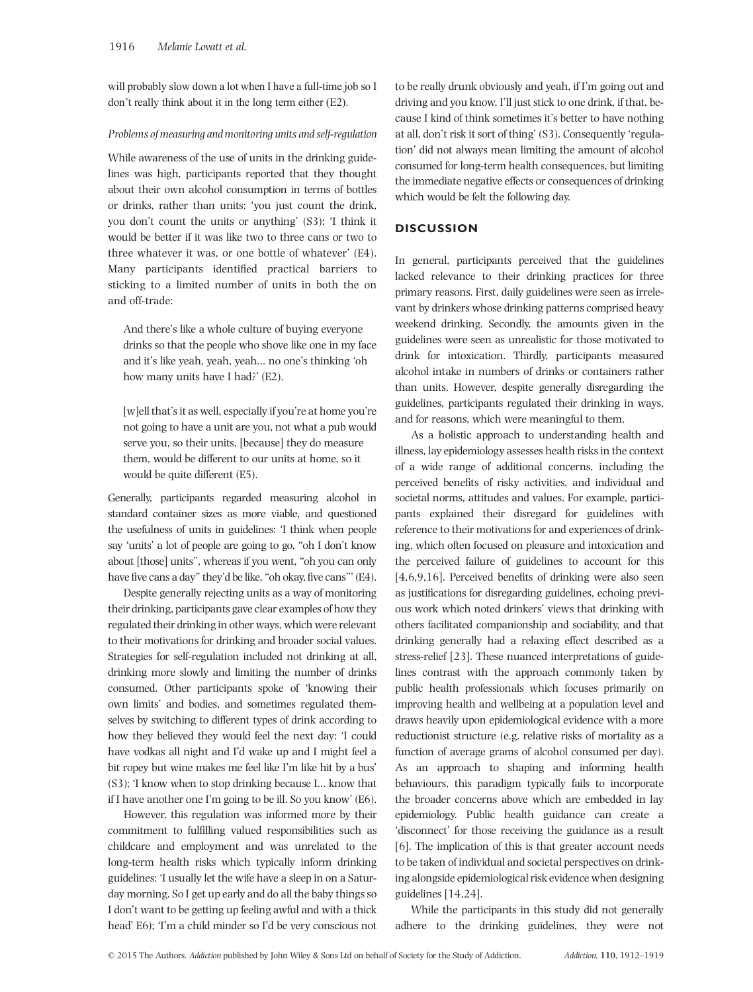will probably slow down a lot when I have a full-time job so I don't really think about it in the long term either (E2).

#### Problems of measuring and monitoring units and self-regulation

While awareness of the use of units in the drinking guidelines was high, participants reported that they thought about their own alcohol consumption in terms of bottles or drinks, rather than units: 'you just count the drink, you don't count the units or anything' (S3); 'I think it would be better if it was like two to three cans or two to three whatever it was, or one bottle of whatever' (E4). Many participants identified practical barriers to sticking to a limited number of units in both the on and off-trade:

And there's like a whole culture of buying everyone drinks so that the people who shove like one in my face and it's like yeah, yeah, yeah… no one's thinking 'oh how many units have I had?' (E2).

[w]ell that's it as well, especially if you're at home you're not going to have a unit are you, not what a pub would serve you, so their units, [because] they do measure them, would be different to our units at home, so it would be quite different (E5).

Generally, participants regarded measuring alcohol in standard container sizes as more viable, and questioned the usefulness of units in guidelines: 'I think when people say 'units' a lot of people are going to go, "oh I don't know about [those] units", whereas if you went, "oh you can only have five cans a day" they'd be like, "oh okay, five cans"' (E4).

Despite generally rejecting units as a way of monitoring their drinking, participants gave clear examples of how they regulated their drinking in other ways, which were relevant to their motivations for drinking and broader social values. Strategies for self-regulation included not drinking at all, drinking more slowly and limiting the number of drinks consumed. Other participants spoke of 'knowing their own limits' and bodies, and sometimes regulated themselves by switching to different types of drink according to how they believed they would feel the next day: 'I could have vodkas all night and I'd wake up and I might feel a bit ropey but wine makes me feel like I'm like hit by a bus' (S3); 'I know when to stop drinking because I… know that if I have another one I'm going to be ill. So you know' (E6).

However, this regulation was informed more by their commitment to fulfilling valued responsibilities such as childcare and employment and was unrelated to the long-term health risks which typically inform drinking guidelines: 'I usually let the wife have a sleep in on a Saturday morning. So I get up early and do all the baby things so I don't want to be getting up feeling awful and with a thick head' E6); 'I'm a child minder so I'd be very conscious not

to be really drunk obviously and yeah, if I'm going out and driving and you know, I'll just stick to one drink, if that, because I kind of think sometimes it's better to have nothing at all, don't risk it sort of thing' (S3). Consequently 'regulation' did not always mean limiting the amount of alcohol consumed for long-term health consequences, but limiting the immediate negative effects or consequences of drinking which would be felt the following day.

## **DISCUSSION**

In general, participants perceived that the guidelines lacked relevance to their drinking practices for three primary reasons. First, daily guidelines were seen as irrelevant by drinkers whose drinking patterns comprised heavy weekend drinking. Secondly, the amounts given in the guidelines were seen as unrealistic for those motivated to drink for intoxication. Thirdly, participants measured alcohol intake in numbers of drinks or containers rather than units. However, despite generally disregarding the guidelines, participants regulated their drinking in ways, and for reasons, which were meaningful to them.

As a holistic approach to understanding health and illness, lay epidemiology assesses health risks in the context of a wide range of additional concerns, including the perceived benefits of risky activities, and individual and societal norms, attitudes and values. For example, participants explained their disregard for guidelines with reference to their motivations for and experiences of drinking, which often focused on pleasure and intoxication and the perceived failure of guidelines to account for this [4,6,9,16]. Perceived benefits of drinking were also seen as justifications for disregarding guidelines, echoing previous work which noted drinkers' views that drinking with others facilitated companionship and sociability, and that drinking generally had a relaxing effect described as a stress-relief [23]. These nuanced interpretations of guidelines contrast with the approach commonly taken by public health professionals which focuses primarily on improving health and wellbeing at a population level and draws heavily upon epidemiological evidence with a more reductionist structure (e.g. relative risks of mortality as a function of average grams of alcohol consumed per day). As an approach to shaping and informing health behaviours, this paradigm typically fails to incorporate the broader concerns above which are embedded in lay epidemiology. Public health guidance can create a 'disconnect' for those receiving the guidance as a result [6]. The implication of this is that greater account needs to be taken of individual and societal perspectives on drinking alongside epidemiological risk evidence when designing guidelines [14,24].

While the participants in this study did not generally adhere to the drinking guidelines, they were not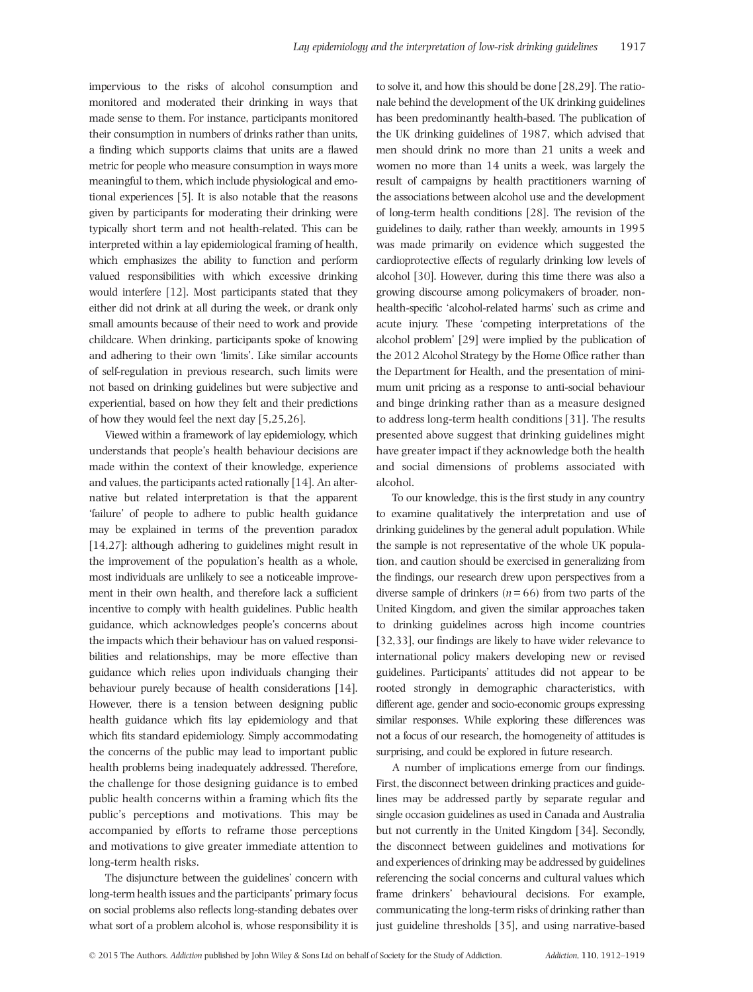impervious to the risks of alcohol consumption and monitored and moderated their drinking in ways that made sense to them. For instance, participants monitored their consumption in numbers of drinks rather than units, a finding which supports claims that units are a flawed metric for people who measure consumption in ways more meaningful to them, which include physiological and emotional experiences [5]. It is also notable that the reasons given by participants for moderating their drinking were typically short term and not health-related. This can be interpreted within a lay epidemiological framing of health, which emphasizes the ability to function and perform valued responsibilities with which excessive drinking would interfere [12]. Most participants stated that they either did not drink at all during the week, or drank only small amounts because of their need to work and provide childcare. When drinking, participants spoke of knowing and adhering to their own 'limits'. Like similar accounts of self-regulation in previous research, such limits were not based on drinking guidelines but were subjective and experiential, based on how they felt and their predictions of how they would feel the next day [5,25,26].

Viewed within a framework of lay epidemiology, which understands that people's health behaviour decisions are made within the context of their knowledge, experience and values, the participants acted rationally [14]. An alternative but related interpretation is that the apparent 'failure' of people to adhere to public health guidance may be explained in terms of the prevention paradox [14,27]: although adhering to guidelines might result in the improvement of the population's health as a whole, most individuals are unlikely to see a noticeable improvement in their own health, and therefore lack a sufficient incentive to comply with health guidelines. Public health guidance, which acknowledges people's concerns about the impacts which their behaviour has on valued responsibilities and relationships, may be more effective than guidance which relies upon individuals changing their behaviour purely because of health considerations [14]. However, there is a tension between designing public health guidance which fits lay epidemiology and that which fits standard epidemiology. Simply accommodating the concerns of the public may lead to important public health problems being inadequately addressed. Therefore, the challenge for those designing guidance is to embed public health concerns within a framing which fits the public's perceptions and motivations. This may be accompanied by efforts to reframe those perceptions and motivations to give greater immediate attention to long-term health risks.

The disjuncture between the guidelines' concern with long-term health issues and the participants' primary focus on social problems also reflects long-standing debates over what sort of a problem alcohol is, whose responsibility it is to solve it, and how this should be done [28,29]. The rationale behind the development of the UK drinking guidelines has been predominantly health-based. The publication of the UK drinking guidelines of 1987, which advised that men should drink no more than 21 units a week and women no more than 14 units a week, was largely the result of campaigns by health practitioners warning of the associations between alcohol use and the development of long-term health conditions [28]. The revision of the guidelines to daily, rather than weekly, amounts in 1995 was made primarily on evidence which suggested the cardioprotective effects of regularly drinking low levels of alcohol [30]. However, during this time there was also a growing discourse among policymakers of broader, nonhealth-specific 'alcohol-related harms' such as crime and acute injury. These 'competing interpretations of the alcohol problem' [29] were implied by the publication of the 2012 Alcohol Strategy by the Home Office rather than the Department for Health, and the presentation of minimum unit pricing as a response to anti-social behaviour and binge drinking rather than as a measure designed to address long-term health conditions [31]. The results presented above suggest that drinking guidelines might have greater impact if they acknowledge both the health and social dimensions of problems associated with alcohol.

To our knowledge, this is the first study in any country to examine qualitatively the interpretation and use of drinking guidelines by the general adult population. While the sample is not representative of the whole UK population, and caution should be exercised in generalizing from the findings, our research drew upon perspectives from a diverse sample of drinkers ( $n = 66$ ) from two parts of the United Kingdom, and given the similar approaches taken to drinking guidelines across high income countries [32,33], our findings are likely to have wider relevance to international policy makers developing new or revised guidelines. Participants' attitudes did not appear to be rooted strongly in demographic characteristics, with different age, gender and socio-economic groups expressing similar responses. While exploring these differences was not a focus of our research, the homogeneity of attitudes is surprising, and could be explored in future research.

A number of implications emerge from our findings. First, the disconnect between drinking practices and guidelines may be addressed partly by separate regular and single occasion guidelines as used in Canada and Australia but not currently in the United Kingdom [34]. Secondly, the disconnect between guidelines and motivations for and experiences of drinking may be addressed by guidelines referencing the social concerns and cultural values which frame drinkers' behavioural decisions. For example, communicating the long-term risks of drinking rather than just guideline thresholds [35], and using narrative-based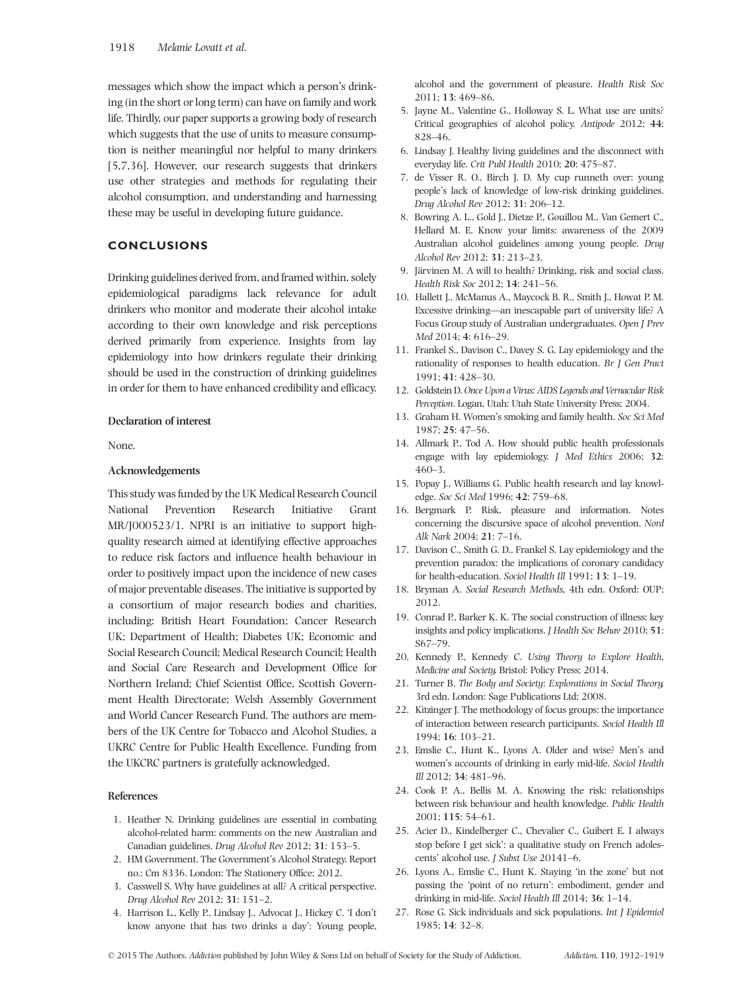messages which show the impact which a person's drinking (in the short or long term) can have on family and work life. Thirdly, our paper supports a growing body of research which suggests that the use of units to measure consumption is neither meaningful nor helpful to many drinkers [5,7,36]. However, our research suggests that drinkers use other strategies and methods for regulating their alcohol consumption, and understanding and harnessing these may be useful in developing future guidance.

## **CONCLUSIONS**

Drinking guidelines derived from, and framed within, solely epidemiological paradigms lack relevance for adult drinkers who monitor and moderate their alcohol intake according to their own knowledge and risk perceptions derived primarily from experience. Insights from lay epidemiology into how drinkers regulate their drinking should be used in the construction of drinking guidelines in order for them to have enhanced credibility and efficacy.

#### Declaration of interest

None.

#### Acknowledgements

This study was funded by the UK Medical Research Council National Prevention Research Initiative Grant MR/J000523/1. NPRI is an initiative to support highquality research aimed at identifying effective approaches to reduce risk factors and influence health behaviour in order to positively impact upon the incidence of new cases of major preventable diseases. The initiative is supported by a consortium of major research bodies and charities, including: British Heart Foundation; Cancer Research UK; Department of Health; Diabetes UK; Economic and Social Research Council; Medical Research Council; Health and Social Care Research and Development Office for Northern Ireland; Chief Scientist Office, Scottish Government Health Directorate; Welsh Assembly Government and World Cancer Research Fund. The authors are members of the UK Centre for Tobacco and Alcohol Studies, a UKRC Centre for Public Health Excellence. Funding from the UKCRC partners is gratefully acknowledged.

#### References

- 1. Heather N. Drinking guidelines are essential in combating alcohol-related harm: comments on the new Australian and Canadian guidelines. Drug Alcohol Rev 2012; 31: 153–5.
- 2. HM Government. The Government's Alcohol Strategy. Report no.: Cm 8336. London: The Stationery Office; 2012.
- 3. Casswell S. Why have guidelines at all? A critical perspective. Drug Alcohol Rev 2012; 31: 151–2.
- 4. Harrison L., Kelly P., Lindsay J., Advocat J., Hickey C. 'I don't know anyone that has two drinks a day': Young people,

alcohol and the government of pleasure. Health Risk Soc 2011; 13: 469–86.

- 5. Jayne M., Valentine G., Holloway S. L. What use are units? Critical geographies of alcohol policy. Antipode 2012; 44: 828–46.
- 6. Lindsay J. Healthy living guidelines and the disconnect with everyday life. Crit Publ Health 2010; 20: 475–87.
- 7. de Visser R. O., Birch J. D. My cup runneth over: young people's lack of knowledge of low-risk drinking guidelines. Drug Alcohol Rev 2012; 31: 206–12.
- 8. Bowring A. L., Gold J., Dietze P., Gouillou M., Van Gemert C., Hellard M. E. Know your limits: awareness of the 2009 Australian alcohol guidelines among young people. Drug Alcohol Rev 2012; 31: 213–23.
- 9. Järvinen M. A will to health? Drinking, risk and social class. Health Risk Soc 2012; 14: 241–56.
- 10. Hallett J., McManus A., Maycock B. R., Smith J., Howat P. M. Excessive drinking—an inescapable part of university life? A Focus Group study of Australian undergraduates. Open J Prev Med 2014; 4: 616–29.
- 11. Frankel S., Davison C., Davey S. G. Lay epidemiology and the rationality of responses to health education. Br J Gen Pract 1991; 41: 428–30.
- 12. Goldstein D. Once Upon a Virus: AIDS Legends and Vernacular Risk Perception. Logan, Utah: Utah State University Press; 2004.
- 13. Graham H. Women's smoking and family health. Soc Sci Med 1987; 25: 47–56.
- 14. Allmark P., Tod A. How should public health professionals engage with lay epidemiology. J Med Ethics 2006; 32: 460–3.
- 15. Popay J., Williams G. Public health research and lay knowledge. Soc Sci Med 1996; 42: 759–68.
- 16. Bergmark P. Risk, pleasure and information. Notes concerning the discursive space of alcohol prevention. Nord Alk Nark 2004; 21: 7–16.
- 17. Davison C., Smith G. D., Frankel S. Lay epidemiology and the prevention paradox: the implications of coronary candidacy for health-education. Sociol Health Ill 1991; 13: 1–19.
- 18. Bryman A. Social Research Methods, 4th edn. Oxford: OUP; 2012.
- 19. Conrad P., Barker K. K. The social construction of illness: key insights and policy implications. J Health Soc Behav 2010; 51: S67–79.
- 20. Kennedy P., Kennedy C. Using Theory to Explore Health, Medicine and Society. Bristol: Policy Press; 2014.
- 21. Turner B. The Body and Society: Explorations in Social Theory, 3rd edn. London: Sage Publications Ltd; 2008.
- 22. Kitzinger J. The methodology of focus groups: the importance of interaction between research participants. Sociol Health Ill 1994; 16: 103–21.
- 23. Emslie C., Hunt K., Lyons A. Older and wise? Men's and women's accounts of drinking in early mid-life. Sociol Health Ill 2012; 34: 481–96.
- 24. Cook P. A., Bellis M. A. Knowing the risk: relationships between risk behaviour and health knowledge. Public Health 2001; 115: 54–61.
- 25. Acier D., Kindelberger C., Chevalier C., Guibert E. I always stop before I get sick': a qualitative study on French adolescents' alcohol use. J Subst Use 20141–6.
- 26. Lyons A., Emslie C., Hunt K. Staying 'in the zone' but not passing the 'point of no return': embodiment, gender and drinking in mid-life. Sociol Health Ill 2014; 36: 1–14.
- 27. Rose G. Sick individuals and sick populations. Int J Epidemiol 1985; 14: 32–8.